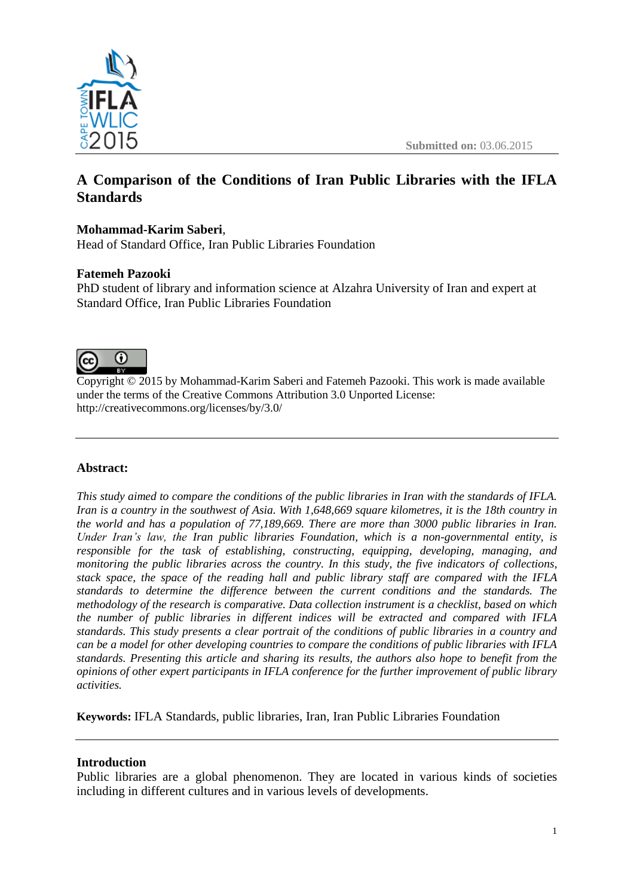

# **A Comparison of the Conditions of Iran Public Libraries with the IFLA Standards**

## **Mohammad-Karim Saberi**,

Head of Standard Office, Iran Public Libraries Foundation

### **Fatemeh Pazooki**

PhD student of library and information science at Alzahra University of Iran and expert at Standard Office, Iran Public Libraries Foundation



Copyright © 2015 by Mohammad-Karim Saberi and Fatemeh Pazooki. This work is made available under the terms of the Creative Commons Attribution 3.0 Unported License: <http://creativecommons.org/licenses/by/3.0/>

### **Abstract:**

*This study aimed to compare the conditions of the public libraries in Iran with the standards of IFLA. Iran is a country in the southwest of Asia. With 1,648,669 square kilometres, it is the 18th country in the world and has a population of 77,189,669. There are more than 3000 public libraries in Iran. Under Iran's law, the Iran public libraries Foundation, which is a non-governmental entity, is responsible for the task of establishing, constructing, equipping, developing, managing, and monitoring the public libraries across the country. In this study, the five indicators of collections, stack space, the space of the reading hall and public library staff are compared with the IFLA standards to determine the difference between the current conditions and the standards. The methodology of the research is comparative. Data collection instrument is a checklist, based on which the number of public libraries in different indices will be extracted and compared with IFLA standards. This study presents a clear portrait of the conditions of public libraries in a country and can be a model for other developing countries to compare the conditions of public libraries with IFLA standards. Presenting this article and sharing its results, the authors also hope to benefit from the opinions of other expert participants in IFLA conference for the further improvement of public library activities.*

**Keywords:** IFLA Standards, public libraries, Iran, Iran Public Libraries Foundation

### **Introduction**

Public libraries are a global phenomenon. They are located in various kinds of societies including in different cultures and in various levels of developments.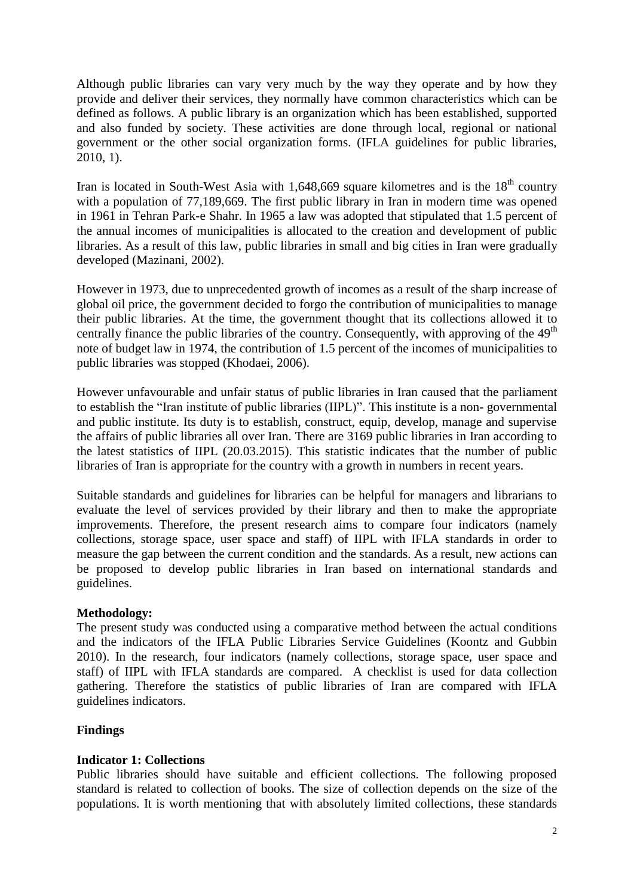Although public libraries can vary very much by the way they operate and by how they provide and deliver their services, they normally have common characteristics which can be defined as follows. A public library is an organization which has been established, supported and also funded by society. These activities are done through local, regional or national government or the other social organization forms. (IFLA guidelines for public libraries, 2010, 1).

Iran is located in South-West Asia with  $1,648,669$  square kilometres and is the  $18<sup>th</sup>$  country with a population of 77,189,669. The first public library in Iran in modern time was opened in 1961 in Tehran Park-e Shahr. In 1965 a law was adopted that stipulated that 1.5 percent of the annual incomes of municipalities is allocated to the creation and development of public libraries. As a result of this law, public libraries in small and big cities in Iran were gradually developed (Mazinani, 2002).

However in 1973, due to unprecedented growth of incomes as a result of the sharp increase of global oil price, the government decided to forgo the contribution of municipalities to manage their public libraries. At the time, the government thought that its collections allowed it to centrally finance the public libraries of the country. Consequently, with approving of the 49<sup>th</sup> note of budget law in 1974, the contribution of 1.5 percent of the incomes of municipalities to public libraries was stopped (Khodaei, 2006).

However unfavourable and unfair status of public libraries in Iran caused that the parliament to establish the "Iran institute of public libraries (IIPL)". This institute is a non- governmental and public institute. Its duty is to establish, construct, equip, develop, manage and supervise the affairs of public libraries all over Iran. There are 3169 public libraries in Iran according to the latest statistics of IIPL (20.03.2015). This statistic indicates that the number of public libraries of Iran is appropriate for the country with a growth in numbers in recent years.

Suitable standards and guidelines for libraries can be helpful for managers and librarians to evaluate the level of services provided by their library and then to make the appropriate improvements. Therefore, the present research aims to compare four indicators (namely collections, storage space, user space and staff) of IIPL with IFLA standards in order to measure the gap between the current condition and the standards. As a result, new actions can be proposed to develop public libraries in Iran based on international standards and guidelines.

### **Methodology:**

The present study was conducted using a comparative method between the actual conditions and the indicators of the IFLA Public Libraries Service Guidelines (Koontz and Gubbin 2010). In the research, four indicators (namely collections, storage space, user space and staff) of IIPL with IFLA standards are compared. A checklist is used for data collection gathering. Therefore the statistics of public libraries of Iran are compared with IFLA guidelines indicators.

### **Findings**

### **Indicator 1: Collections**

Public libraries should have suitable and efficient collections. The following proposed standard is related to collection of books. The size of collection depends on the size of the populations. It is worth mentioning that with absolutely limited collections, these standards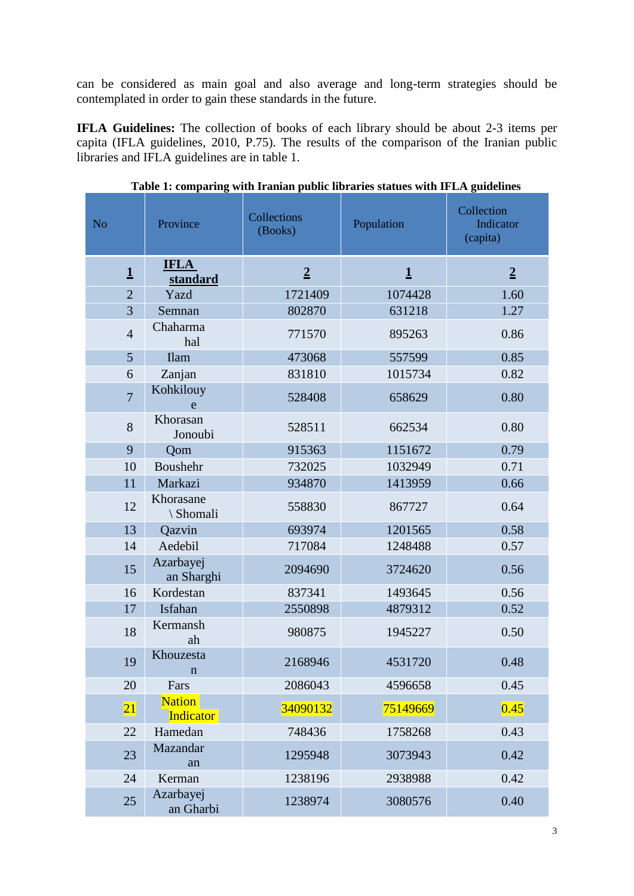can be considered as main goal and also average and long-term strategies should be contemplated in order to gain these standards in the future.

**IFLA Guidelines:** The collection of books of each library should be about 2-3 items per capita (IFLA guidelines, 2010, P.75). The results of the comparison of the Iranian public libraries and IFLA guidelines are in table 1.

| N <sub>o</sub> | Province                          | Collections<br>(Books) | Population   | Collection<br>Indicator<br>(capita) |
|----------------|-----------------------------------|------------------------|--------------|-------------------------------------|
| $\mathbf{1}$   | <b>IFLA</b><br>standard           | $\overline{2}$         | $\mathbf{1}$ | $\overline{2}$                      |
| $\overline{2}$ | Yazd                              | 1721409                | 1074428      | 1.60                                |
| $\overline{3}$ | Semnan                            | 802870                 | 631218       | 1.27                                |
| $\overline{4}$ | Chaharma<br>hal                   | 771570                 | 895263       | 0.86                                |
| $\overline{5}$ | <b>Ilam</b>                       | 473068                 | 557599       | 0.85                                |
| 6              | Zanjan                            | 831810                 | 1015734      | 0.82                                |
| $\overline{7}$ | Kohkilouy<br>e                    | 528408                 | 658629       | 0.80                                |
| 8              | Khorasan<br>Jonoubi               | 528511                 | 662534       | 0.80                                |
| 9              | Qom                               | 915363                 | 1151672      | 0.79                                |
| 10             | Boushehr                          | 732025                 | 1032949      | 0.71                                |
| 11             | Markazi                           | 934870                 | 1413959      | 0.66                                |
| 12             | Khorasane<br>\ Shomali            | 558830                 | 867727       | 0.64                                |
| 13             | Qazvin                            | 693974                 | 1201565      | 0.58                                |
| 14             | Aedebil                           | 717084                 | 1248488      | 0.57                                |
| 15             | Azarbayej<br>an Sharghi           | 2094690                | 3724620      | 0.56                                |
| 16             | Kordestan                         | 837341                 | 1493645      | 0.56                                |
| 17             | Isfahan                           | 2550898                | 4879312      | 0.52                                |
| 18             | Kermansh<br>ah                    | 980875                 | 1945227      | 0.50                                |
| 19             | Khouzesta<br>$\mathbf n$          | 2168946                | 4531720      | 0.48                                |
| 20             | Fars                              | 2086043                | 4596658      | 0.45                                |
| 21             | <b>Nation</b><br><b>Indicator</b> | 34090132               | 75149669     | 0.45                                |
| 22             | Hamedan                           | 748436                 | 1758268      | 0.43                                |
| 23             | Mazandar<br>an                    | 1295948                | 3073943      | 0.42                                |
| 24             | Kerman                            | 1238196                | 2938988      | 0.42                                |
| 25             | Azarbayej<br>an Gharbi            | 1238974                | 3080576      | 0.40                                |

**Table 1: comparing with Iranian public libraries statues with IFLA guidelines**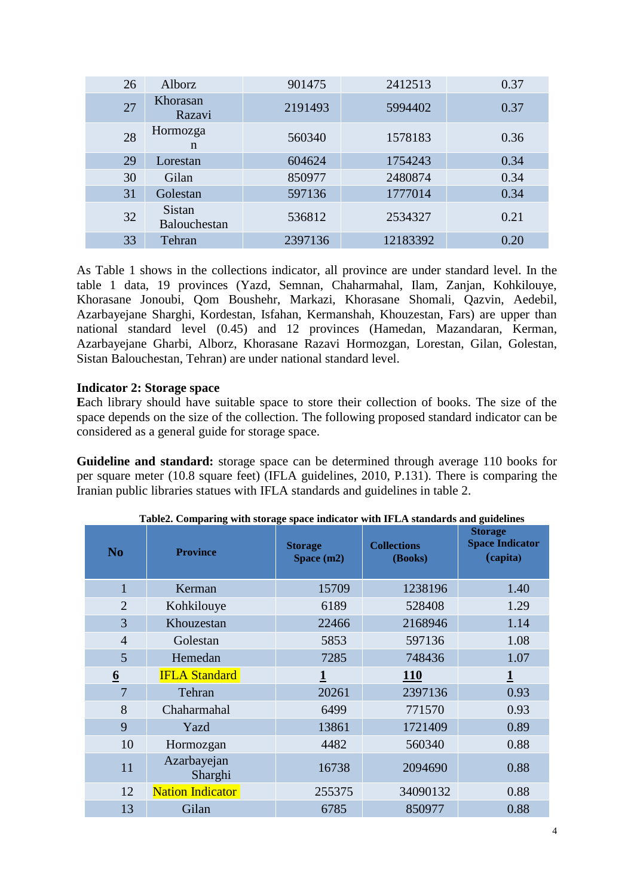| 26 | Alborz                        | 901475  | 2412513  | 0.37 |
|----|-------------------------------|---------|----------|------|
| 27 | Khorasan<br>Razavi            | 2191493 | 5994402  | 0.37 |
| 28 | Hormozga<br>n                 | 560340  | 1578183  | 0.36 |
| 29 | Lorestan                      | 604624  | 1754243  | 0.34 |
| 30 | Gilan                         | 850977  | 2480874  | 0.34 |
| 31 | Golestan                      | 597136  | 1777014  | 0.34 |
| 32 | <b>Sistan</b><br>Balouchestan | 536812  | 2534327  | 0.21 |
| 33 | Tehran                        | 2397136 | 12183392 | 0.20 |

As Table 1 shows in the collections indicator, all province are under standard level. In the table 1 data, 19 provinces (Yazd, Semnan, Chaharmahal, Ilam, Zanjan, Kohkilouye, Khorasane Jonoubi, Qom Boushehr, Markazi, Khorasane Shomali, Qazvin, Aedebil, Azarbayejane Sharghi, Kordestan, Isfahan, Kermanshah, Khouzestan, Fars) are upper than national standard level (0.45) and 12 provinces (Hamedan, Mazandaran, Kerman, Azarbayejane Gharbi, Alborz, Khorasane Razavi Hormozgan, Lorestan, Gilan, Golestan, Sistan Balouchestan, Tehran) are under national standard level.

### **Indicator 2: Storage space**

**E**ach library should have suitable space to store their collection of books. The size of the space depends on the size of the collection. The following proposed standard indicator can be considered as a general guide for storage space.

**Guideline and standard:** storage space can be determined through average 110 books for per square meter (10.8 square feet) (IFLA guidelines, 2010, P.131). There is comparing the Iranian public libraries statues with IFLA standards and guidelines in table 2.

| N <sub>0</sub>  | <b>Province</b>         | <b>Storage</b><br>Space (m2) | <b>Collections</b><br>(Books) | <b>Storage</b><br><b>Space Indicator</b><br>(capita) |
|-----------------|-------------------------|------------------------------|-------------------------------|------------------------------------------------------|
| $\mathbf 1$     | Kerman                  | 15709                        | 1238196                       | 1.40                                                 |
| $\overline{2}$  | Kohkilouye              | 6189                         | 528408                        | 1.29                                                 |
| 3               | Khouzestan              | 22466                        | 2168946                       | 1.14                                                 |
| $\overline{4}$  | Golestan                | 5853                         | 597136                        | 1.08                                                 |
| 5               | Hemedan                 | 7285                         | 748436                        | 1.07                                                 |
| $\underline{6}$ | <b>IFLA Standard</b>    |                              | <b>110</b>                    |                                                      |
| $\overline{7}$  | Tehran                  | 20261                        | 2397136                       | 0.93                                                 |
| 8               | Chaharmahal             | 6499                         | 771570                        | 0.93                                                 |
| 9               | Yazd                    | 13861                        | 1721409                       | 0.89                                                 |
| 10              | Hormozgan               | 4482                         | 560340                        | 0.88                                                 |
| 11              | Azarbayejan<br>Sharghi  | 16738                        | 2094690                       | 0.88                                                 |
| 12              | <b>Nation Indicator</b> | 255375                       | 34090132                      | 0.88                                                 |
| 13              | Gilan                   | 6785                         | 850977                        | 0.88                                                 |

**Table2. Comparing with storage space indicator with IFLA standards and guidelines**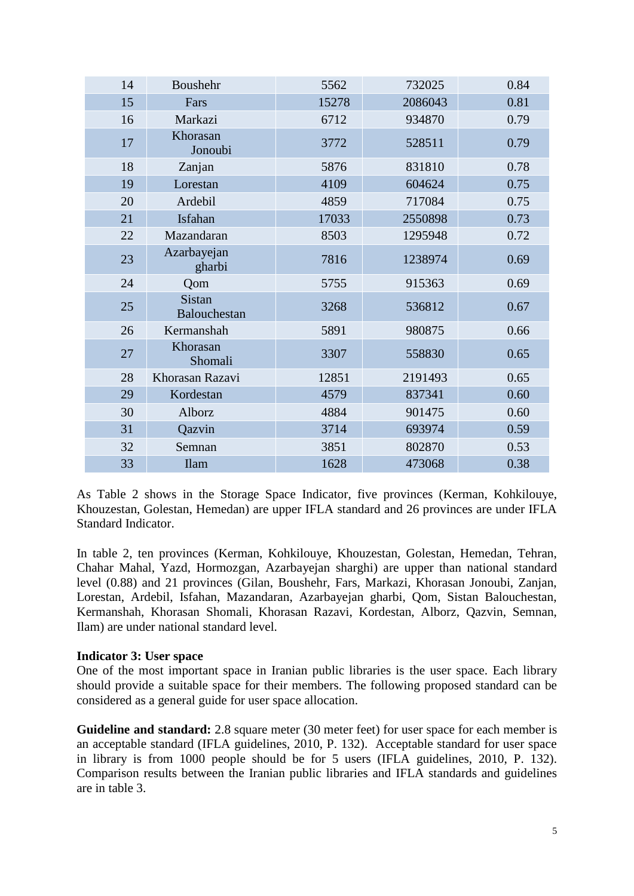| 14 | Boushehr                      | 5562  | 732025  | 0.84 |
|----|-------------------------------|-------|---------|------|
| 15 | Fars                          | 15278 | 2086043 | 0.81 |
| 16 | Markazi                       | 6712  | 934870  | 0.79 |
| 17 | Khorasan<br>Jonoubi           | 3772  | 528511  | 0.79 |
| 18 | Zanjan                        | 5876  | 831810  | 0.78 |
| 19 | Lorestan                      | 4109  | 604624  | 0.75 |
| 20 | Ardebil                       | 4859  | 717084  | 0.75 |
| 21 | Isfahan                       | 17033 | 2550898 | 0.73 |
| 22 | Mazandaran                    | 8503  | 1295948 | 0.72 |
| 23 | Azarbayejan<br>gharbi         | 7816  | 1238974 | 0.69 |
| 24 | Qom                           | 5755  | 915363  | 0.69 |
| 25 | <b>Sistan</b><br>Balouchestan | 3268  | 536812  | 0.67 |
| 26 | Kermanshah                    | 5891  | 980875  | 0.66 |
| 27 | Khorasan<br>Shomali           | 3307  | 558830  | 0.65 |
| 28 | Khorasan Razavi               | 12851 | 2191493 | 0.65 |
| 29 | Kordestan                     | 4579  | 837341  | 0.60 |
| 30 | Alborz                        | 4884  | 901475  | 0.60 |
| 31 | Qazvin                        | 3714  | 693974  | 0.59 |
| 32 | Semnan                        | 3851  | 802870  | 0.53 |
| 33 | <b>Ilam</b>                   | 1628  | 473068  | 0.38 |

As Table 2 shows in the Storage Space Indicator, five provinces (Kerman, Kohkilouye, Khouzestan, Golestan, Hemedan) are upper IFLA standard and 26 provinces are under IFLA Standard Indicator.

In table 2, ten provinces (Kerman, Kohkilouye, Khouzestan, Golestan, Hemedan, Tehran, Chahar Mahal, Yazd, Hormozgan, Azarbayejan sharghi) are upper than national standard level (0.88) and 21 provinces (Gilan, Boushehr, Fars, Markazi, Khorasan Jonoubi, Zanjan, Lorestan, Ardebil, Isfahan, Mazandaran, Azarbayejan gharbi, Qom, Sistan Balouchestan, Kermanshah, Khorasan Shomali, Khorasan Razavi, Kordestan, Alborz, Qazvin, Semnan, Ilam) are under national standard level.

### **Indicator 3: User space**

One of the most important space in Iranian public libraries is the user space. Each library should provide a suitable space for their members. The following proposed standard can be considered as a general guide for user space allocation.

**Guideline and standard:** 2.8 square meter (30 meter feet) for user space for each member is an acceptable standard (IFLA guidelines, 2010, P. 132). Acceptable standard for user space in library is from 1000 people should be for 5 users (IFLA guidelines, 2010, P. 132). Comparison results between the Iranian public libraries and IFLA standards and guidelines are in table 3.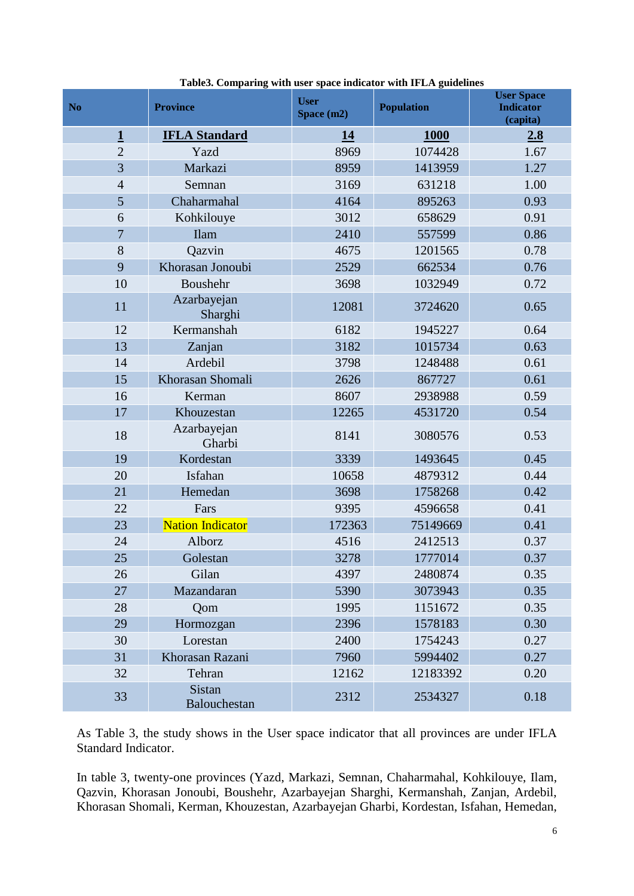| N <sub>o</sub>          | <b>Province</b>               | <b>User</b><br>Space (m2) | <b>Population</b> | <b>User Space</b><br><b>Indicator</b><br>(capita) |
|-------------------------|-------------------------------|---------------------------|-------------------|---------------------------------------------------|
| $\overline{\mathbf{1}}$ | <b>IFLA Standard</b>          | 14                        | 1000              | 2.8                                               |
| $\overline{2}$          | Yazd                          | 8969                      | 1074428           | 1.67                                              |
| 3                       | Markazi                       | 8959                      | 1413959           | 1.27                                              |
| $\overline{4}$          | Semnan                        | 3169                      | 631218            | 1.00                                              |
| 5                       | Chaharmahal                   | 4164                      | 895263            | 0.93                                              |
| 6                       | Kohkilouye                    | 3012                      | 658629            | 0.91                                              |
| $\overline{7}$          | <b>Ilam</b>                   | 2410                      | 557599            | 0.86                                              |
| 8                       | Qazvin                        | 4675                      | 1201565           | 0.78                                              |
| 9                       | Khorasan Jonoubi              | 2529                      | 662534            | 0.76                                              |
| 10                      | Boushehr                      | 3698                      | 1032949           | 0.72                                              |
| 11                      | Azarbayejan<br>Sharghi        | 12081                     | 3724620           | 0.65                                              |
| 12                      | Kermanshah                    | 6182                      | 1945227           | 0.64                                              |
| 13                      | Zanjan                        | 3182                      | 1015734           | 0.63                                              |
| 14                      | Ardebil                       | 3798                      | 1248488           | 0.61                                              |
| 15                      | Khorasan Shomali              | 2626                      | 867727            | 0.61                                              |
| 16                      | Kerman                        | 8607                      | 2938988           | 0.59                                              |
| 17                      | Khouzestan                    | 12265                     | 4531720           | 0.54                                              |
| 18                      | Azarbayejan<br>Gharbi         | 8141                      | 3080576           | 0.53                                              |
| 19                      | Kordestan                     | 3339                      | 1493645           | 0.45                                              |
| 20                      | Isfahan                       | 10658                     | 4879312           | 0.44                                              |
| 21                      | Hemedan                       | 3698                      | 1758268           | 0.42                                              |
| 22                      | Fars                          | 9395                      | 4596658           | 0.41                                              |
| 23                      | <b>Nation Indicator</b>       | 172363                    | 75149669          | 0.41                                              |
| 24                      | Alborz                        | 4516                      | 2412513           | 0.37                                              |
| 25                      | Golestan                      | 3278                      | 1777014           | 0.37                                              |
| 26                      | Gilan                         | 4397                      | 2480874           | 0.35                                              |
| 27                      | Mazandaran                    | 5390                      | 3073943           | 0.35                                              |
| 28                      | Qom                           | 1995                      | 1151672           | 0.35                                              |
| 29                      | Hormozgan                     | 2396                      | 1578183           | 0.30                                              |
| 30                      | Lorestan                      | 2400                      | 1754243           | 0.27                                              |
| 31                      | Khorasan Razani               | 7960                      | 5994402           | 0.27                                              |
| 32                      | Tehran                        | 12162                     | 12183392          | 0.20                                              |
| 33                      | <b>Sistan</b><br>Balouchestan | 2312                      | 2534327           | 0.18                                              |

**Table3. Comparing with user space indicator with IFLA guidelines**

As Table 3, the study shows in the User space indicator that all provinces are under IFLA Standard Indicator.

In table 3, twenty-one provinces (Yazd, Markazi, Semnan, Chaharmahal, Kohkilouye, Ilam, Qazvin, Khorasan Jonoubi, Boushehr, Azarbayejan Sharghi, Kermanshah, Zanjan, Ardebil, Khorasan Shomali, Kerman, Khouzestan, Azarbayejan Gharbi, Kordestan, Isfahan, Hemedan,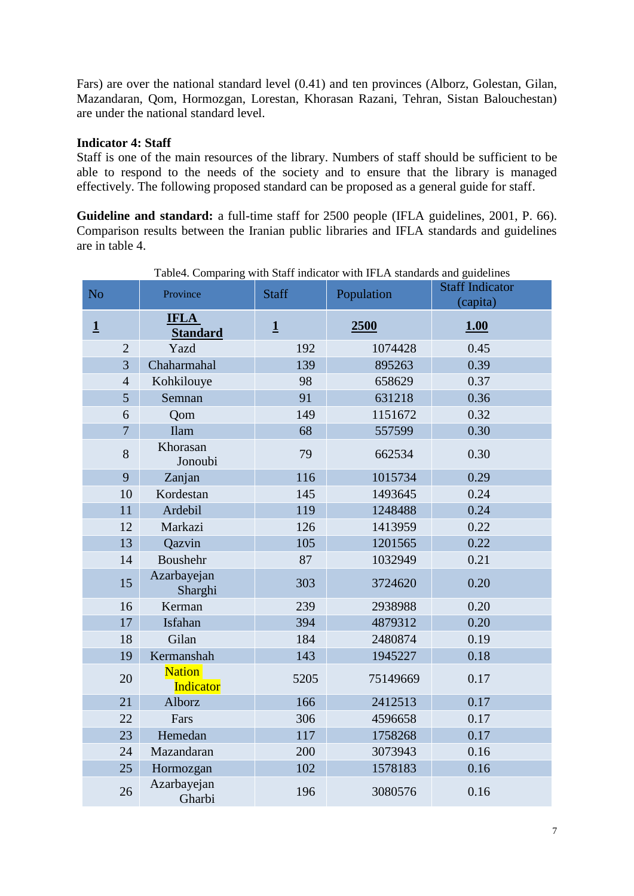Fars) are over the national standard level (0.41) and ten provinces (Alborz, Golestan, Gilan, Mazandaran, Qom, Hormozgan, Lorestan, Khorasan Razani, Tehran, Sistan Balouchestan) are under the national standard level.

### **Indicator 4: Staff**

Staff is one of the main resources of the library. Numbers of staff should be sufficient to be able to respond to the needs of the society and to ensure that the library is managed effectively. The following proposed standard can be proposed as a general guide for staff.

**Guideline and standard:** a full-time staff for 2500 people (IFLA guidelines, 2001, P. 66). Comparison results between the Iranian public libraries and IFLA standards and guidelines are in table 4.

|                |                |                                   |                         | raoic+. Comparing with start muicator with Ir LA standards and guidelines |                                    |
|----------------|----------------|-----------------------------------|-------------------------|---------------------------------------------------------------------------|------------------------------------|
| N <sub>o</sub> |                | Province                          | <b>Staff</b>            | Population                                                                | <b>Staff Indicator</b><br>(capita) |
| $\mathbf{1}$   |                | <b>IFLA</b><br><b>Standard</b>    | $\overline{\mathbf{1}}$ | 2500                                                                      | 1.00                               |
|                | $\overline{2}$ | Yazd                              | 192                     | 1074428                                                                   | 0.45                               |
|                | $\overline{3}$ | Chaharmahal                       | 139                     | 895263                                                                    | 0.39                               |
|                | $\overline{4}$ | Kohkilouye                        | 98                      | 658629                                                                    | 0.37                               |
|                | 5              | Semnan                            | 91                      | 631218                                                                    | 0.36                               |
|                | 6              | Qom                               | 149                     | 1151672                                                                   | 0.32                               |
|                | $\overline{7}$ | <b>Ilam</b>                       | 68                      | 557599                                                                    | 0.30                               |
|                | 8              | Khorasan<br>Jonoubi               | 79                      | 662534                                                                    | 0.30                               |
|                | 9              | Zanjan                            | 116                     | 1015734                                                                   | 0.29                               |
|                | 10             | Kordestan                         | 145                     | 1493645                                                                   | 0.24                               |
|                | 11             | Ardebil                           | 119                     | 1248488                                                                   | 0.24                               |
|                | 12             | Markazi                           | 126                     | 1413959                                                                   | 0.22                               |
|                | 13             | Qazvin                            | 105                     | 1201565                                                                   | 0.22                               |
|                | 14             | Boushehr                          | 87                      | 1032949                                                                   | 0.21                               |
|                | 15             | Azarbayejan<br>Sharghi            | 303                     | 3724620                                                                   | 0.20                               |
|                | 16             | Kerman                            | 239                     | 2938988                                                                   | 0.20                               |
|                | 17             | Isfahan                           | 394                     | 4879312                                                                   | 0.20                               |
|                | 18             | Gilan                             | 184                     | 2480874                                                                   | 0.19                               |
|                | 19             | Kermanshah                        | 143                     | 1945227                                                                   | 0.18                               |
|                | 20             | <b>Nation</b><br><b>Indicator</b> | 5205                    | 75149669                                                                  | 0.17                               |
|                | 21             | Alborz                            | 166                     | 2412513                                                                   | 0.17                               |
|                | 22             | Fars                              | 306                     | 4596658                                                                   | 0.17                               |
|                | 23             | Hemedan                           | 117                     | 1758268                                                                   | 0.17                               |
|                | 24             | Mazandaran                        | 200                     | 3073943                                                                   | 0.16                               |
|                | 25             | Hormozgan                         | 102                     | 1578183                                                                   | 0.16                               |
|                | 26             | Azarbayejan<br>Gharbi             | 196                     | 3080576                                                                   | 0.16                               |

Table4. Comparing with Staff indicator with IFLA standards and guidelines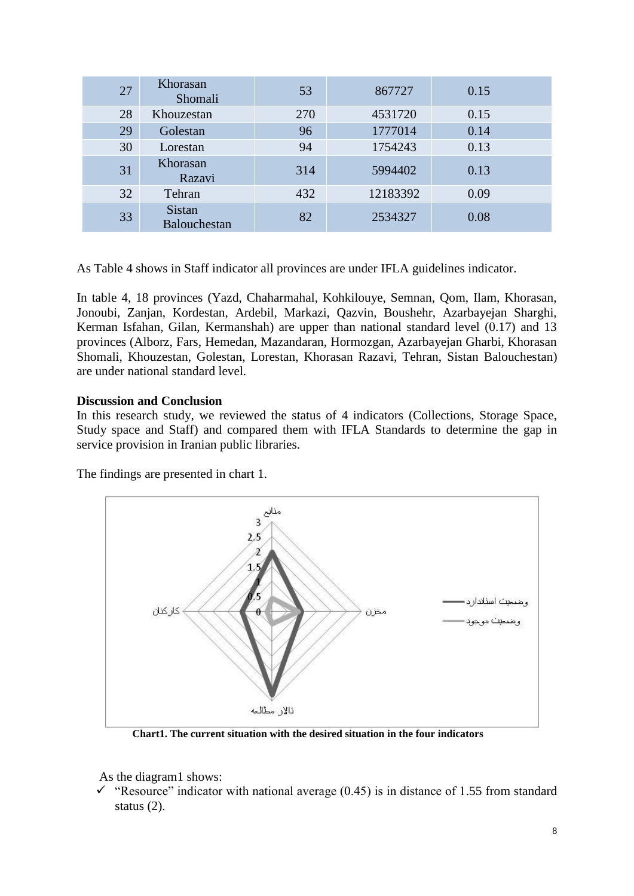| 27 | Khorasan<br>Shomali                  | 53  | 867727   | 0.15 |
|----|--------------------------------------|-----|----------|------|
| 28 | Khouzestan                           | 270 | 4531720  | 0.15 |
| 29 | Golestan                             | 96  | 1777014  | 0.14 |
| 30 | Lorestan                             | 94  | 1754243  | 0.13 |
| 31 | Khorasan<br>Razavi                   | 314 | 5994402  | 0.13 |
| 32 | Tehran                               | 432 | 12183392 | 0.09 |
| 33 | <b>Sistan</b><br><b>Balouchestan</b> | 82  | 2534327  | 0.08 |

As Table 4 shows in Staff indicator all provinces are under IFLA guidelines indicator.

In table 4, 18 provinces (Yazd, Chaharmahal, Kohkilouye, Semnan, Qom, Ilam, Khorasan, Jonoubi, Zanjan, Kordestan, Ardebil, Markazi, Qazvin, Boushehr, Azarbayejan Sharghi, Kerman Isfahan, Gilan, Kermanshah) are upper than national standard level (0.17) and 13 provinces (Alborz, Fars, Hemedan, Mazandaran, Hormozgan, Azarbayejan Gharbi, Khorasan Shomali, Khouzestan, Golestan, Lorestan, Khorasan Razavi, Tehran, Sistan Balouchestan) are under national standard level.

### **Discussion and Conclusion**

In this research study, we reviewed the status of 4 indicators (Collections, Storage Space, Study space and Staff) and compared them with IFLA Standards to determine the gap in service provision in Iranian public libraries.

The findings are presented in chart 1.



**Chart1. The current situation with the desired situation in the four indicators**

As the diagram1 shows:

"Resource" indicator with national average  $(0.45)$  is in distance of 1.55 from standard status (2).